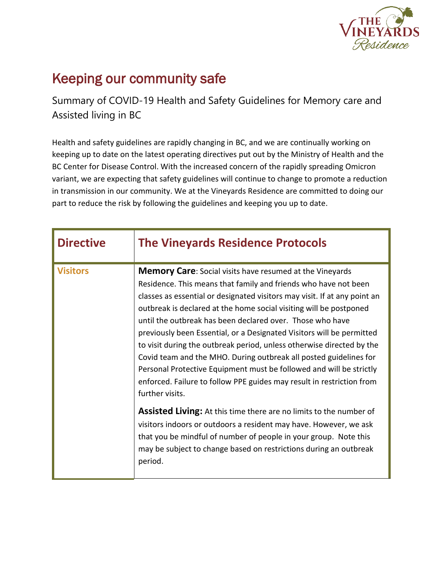

## Keeping our community safe

Summary of COVID-19 Health and Safety Guidelines for Memory care and Assisted living in BC

Health and safety guidelines are rapidly changing in BC, and we are continually working on keeping up to date on the latest operating directives put out by the Ministry of Health and the BC Center for Disease Control. With the increased concern of the rapidly spreading Omicron variant, we are expecting that safety guidelines will continue to change to promote a reduction in transmission in our community. We at the Vineyards Residence are committed to doing our part to reduce the risk by following the guidelines and keeping you up to date.

| <b>Directive</b> | <b>The Vineyards Residence Protocols</b>                                                                                                                                                                                                                                                                                                                                                                                                                                                                                                                                                                                                                                                                                                                                                                                                                                                                                                                                                                                                           |
|------------------|----------------------------------------------------------------------------------------------------------------------------------------------------------------------------------------------------------------------------------------------------------------------------------------------------------------------------------------------------------------------------------------------------------------------------------------------------------------------------------------------------------------------------------------------------------------------------------------------------------------------------------------------------------------------------------------------------------------------------------------------------------------------------------------------------------------------------------------------------------------------------------------------------------------------------------------------------------------------------------------------------------------------------------------------------|
| <b>Visitors</b>  | <b>Memory Care:</b> Social visits have resumed at the Vineyards<br>Residence. This means that family and friends who have not been<br>classes as essential or designated visitors may visit. If at any point an<br>outbreak is declared at the home social visiting will be postponed<br>until the outbreak has been declared over. Those who have<br>previously been Essential, or a Designated Visitors will be permitted<br>to visit during the outbreak period, unless otherwise directed by the<br>Covid team and the MHO. During outbreak all posted guidelines for<br>Personal Protective Equipment must be followed and will be strictly<br>enforced. Failure to follow PPE guides may result in restriction from<br>further visits.<br><b>Assisted Living:</b> At this time there are no limits to the number of<br>visitors indoors or outdoors a resident may have. However, we ask<br>that you be mindful of number of people in your group. Note this<br>may be subject to change based on restrictions during an outbreak<br>period. |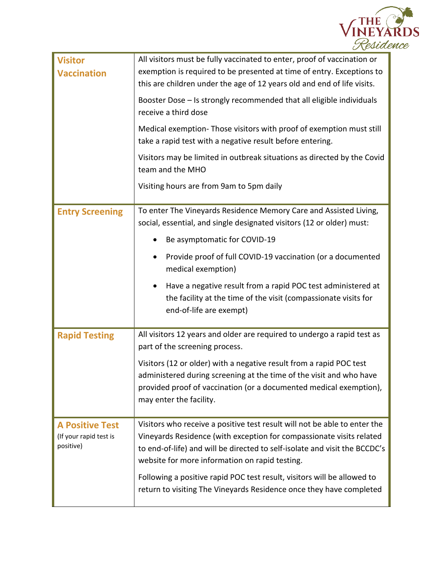

| <b>Visitor</b><br><b>Vaccination</b>                          | All visitors must be fully vaccinated to enter, proof of vaccination or<br>exemption is required to be presented at time of entry. Exceptions to<br>this are children under the age of 12 years old and end of life visits.<br>Booster Dose - Is strongly recommended that all eligible individuals<br>receive a third dose<br>Medical exemption-Those visitors with proof of exemption must still<br>take a rapid test with a negative result before entering.<br>Visitors may be limited in outbreak situations as directed by the Covid<br>team and the MHO<br>Visiting hours are from 9am to 5pm daily |
|---------------------------------------------------------------|------------------------------------------------------------------------------------------------------------------------------------------------------------------------------------------------------------------------------------------------------------------------------------------------------------------------------------------------------------------------------------------------------------------------------------------------------------------------------------------------------------------------------------------------------------------------------------------------------------|
| <b>Entry Screening</b>                                        | To enter The Vineyards Residence Memory Care and Assisted Living,<br>social, essential, and single designated visitors (12 or older) must:<br>Be asymptomatic for COVID-19<br>Provide proof of full COVID-19 vaccination (or a documented<br>$\bullet$<br>medical exemption)<br>Have a negative result from a rapid POC test administered at<br>٠<br>the facility at the time of the visit (compassionate visits for<br>end-of-life are exempt)                                                                                                                                                            |
| <b>Rapid Testing</b>                                          | All visitors 12 years and older are required to undergo a rapid test as<br>part of the screening process.<br>Visitors (12 or older) with a negative result from a rapid POC test<br>administered during screening at the time of the visit and who have<br>provided proof of vaccination (or a documented medical exemption),<br>may enter the facility.                                                                                                                                                                                                                                                   |
| <b>A Positive Test</b><br>(If your rapid test is<br>positive) | Visitors who receive a positive test result will not be able to enter the<br>Vineyards Residence (with exception for compassionate visits related<br>to end-of-life) and will be directed to self-isolate and visit the BCCDC's<br>website for more information on rapid testing.<br>Following a positive rapid POC test result, visitors will be allowed to<br>return to visiting The Vineyards Residence once they have completed                                                                                                                                                                        |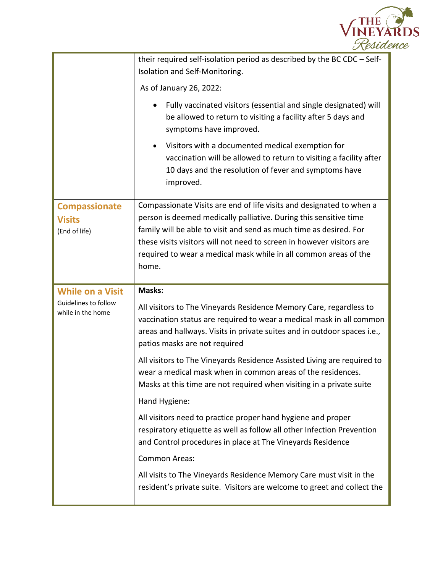

|                                                        | their required self-isolation period as described by the BC CDC - Self-<br>Isolation and Self-Monitoring.                                                                                                                                                                                                                                                             |
|--------------------------------------------------------|-----------------------------------------------------------------------------------------------------------------------------------------------------------------------------------------------------------------------------------------------------------------------------------------------------------------------------------------------------------------------|
|                                                        | As of January 26, 2022:                                                                                                                                                                                                                                                                                                                                               |
|                                                        | Fully vaccinated visitors (essential and single designated) will<br>be allowed to return to visiting a facility after 5 days and<br>symptoms have improved.                                                                                                                                                                                                           |
|                                                        | Visitors with a documented medical exemption for<br>$\bullet$<br>vaccination will be allowed to return to visiting a facility after<br>10 days and the resolution of fever and symptoms have<br>improved.                                                                                                                                                             |
| <b>Compassionate</b><br><b>Visits</b><br>(End of life) | Compassionate Visits are end of life visits and designated to when a<br>person is deemed medically palliative. During this sensitive time<br>family will be able to visit and send as much time as desired. For<br>these visits visitors will not need to screen in however visitors are<br>required to wear a medical mask while in all common areas of the<br>home. |
|                                                        |                                                                                                                                                                                                                                                                                                                                                                       |
| <b>While on a Visit</b>                                | Masks:                                                                                                                                                                                                                                                                                                                                                                |
| Guidelines to follow<br>while in the home              | All visitors to The Vineyards Residence Memory Care, regardless to<br>vaccination status are required to wear a medical mask in all common<br>areas and hallways. Visits in private suites and in outdoor spaces i.e.,<br>patios masks are not required                                                                                                               |
|                                                        | All visitors to The Vineyards Residence Assisted Living are required to<br>wear a medical mask when in common areas of the residences.<br>Masks at this time are not required when visiting in a private suite                                                                                                                                                        |
|                                                        | Hand Hygiene:                                                                                                                                                                                                                                                                                                                                                         |
|                                                        | All visitors need to practice proper hand hygiene and proper<br>respiratory etiquette as well as follow all other Infection Prevention<br>and Control procedures in place at The Vineyards Residence                                                                                                                                                                  |
|                                                        | <b>Common Areas:</b>                                                                                                                                                                                                                                                                                                                                                  |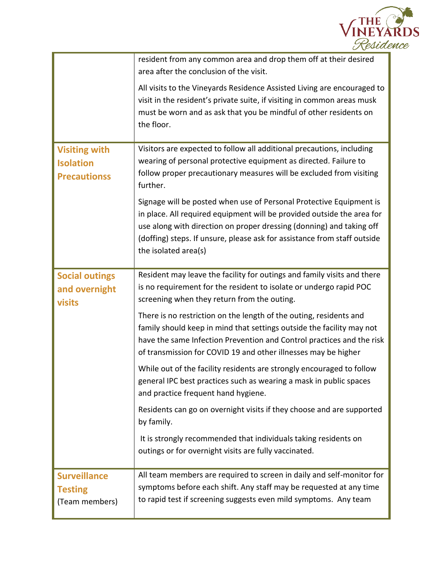

|                                                                 | resident from any common area and drop them off at their desired<br>area after the conclusion of the visit.                                                                                                                                                                                                               |
|-----------------------------------------------------------------|---------------------------------------------------------------------------------------------------------------------------------------------------------------------------------------------------------------------------------------------------------------------------------------------------------------------------|
|                                                                 | All visits to the Vineyards Residence Assisted Living are encouraged to<br>visit in the resident's private suite, if visiting in common areas musk<br>must be worn and as ask that you be mindful of other residents on<br>the floor.                                                                                     |
| <b>Visiting with</b><br><b>Isolation</b><br><b>Precautionss</b> | Visitors are expected to follow all additional precautions, including<br>wearing of personal protective equipment as directed. Failure to<br>follow proper precautionary measures will be excluded from visiting<br>further.                                                                                              |
|                                                                 | Signage will be posted when use of Personal Protective Equipment is<br>in place. All required equipment will be provided outside the area for<br>use along with direction on proper dressing (donning) and taking off<br>(doffing) steps. If unsure, please ask for assistance from staff outside<br>the isolated area(s) |
| <b>Social outings</b><br>and overnight<br><b>visits</b>         | Resident may leave the facility for outings and family visits and there<br>is no requirement for the resident to isolate or undergo rapid POC<br>screening when they return from the outing.                                                                                                                              |
|                                                                 | There is no restriction on the length of the outing, residents and<br>family should keep in mind that settings outside the facility may not<br>have the same Infection Prevention and Control practices and the risk<br>of transmission for COVID 19 and other illnesses may be higher                                    |
|                                                                 | While out of the facility residents are strongly encouraged to follow<br>general IPC best practices such as wearing a mask in public spaces<br>and practice frequent hand hygiene.                                                                                                                                        |
|                                                                 | Residents can go on overnight visits if they choose and are supported<br>by family.                                                                                                                                                                                                                                       |
|                                                                 | It is strongly recommended that individuals taking residents on<br>outings or for overnight visits are fully vaccinated.                                                                                                                                                                                                  |
| <b>Surveillance</b><br><b>Testing</b><br>(Team members)         | All team members are required to screen in daily and self-monitor for<br>symptoms before each shift. Any staff may be requested at any time<br>to rapid test if screening suggests even mild symptoms. Any team                                                                                                           |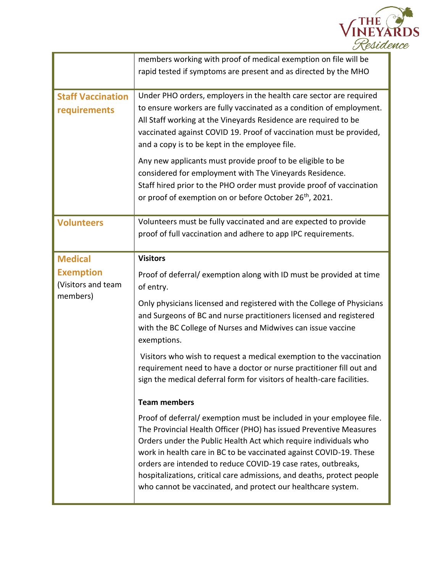

|                                                    | members working with proof of medical exemption on file will be<br>rapid tested if symptoms are present and as directed by the MHO                                                                                                                                                                                                                                                                                                                                                             |
|----------------------------------------------------|------------------------------------------------------------------------------------------------------------------------------------------------------------------------------------------------------------------------------------------------------------------------------------------------------------------------------------------------------------------------------------------------------------------------------------------------------------------------------------------------|
| <b>Staff Vaccination</b><br>requirements           | Under PHO orders, employers in the health care sector are required<br>to ensure workers are fully vaccinated as a condition of employment.<br>All Staff working at the Vineyards Residence are required to be<br>vaccinated against COVID 19. Proof of vaccination must be provided,<br>and a copy is to be kept in the employee file.                                                                                                                                                         |
|                                                    | Any new applicants must provide proof to be eligible to be<br>considered for employment with The Vineyards Residence.<br>Staff hired prior to the PHO order must provide proof of vaccination<br>or proof of exemption on or before October 26 <sup>th</sup> , 2021.                                                                                                                                                                                                                           |
| <b>Volunteers</b>                                  | Volunteers must be fully vaccinated and are expected to provide<br>proof of full vaccination and adhere to app IPC requirements.                                                                                                                                                                                                                                                                                                                                                               |
| <b>Medical</b>                                     | <b>Visitors</b>                                                                                                                                                                                                                                                                                                                                                                                                                                                                                |
| <b>Exemption</b><br>(Visitors and team<br>members) | Proof of deferral/exemption along with ID must be provided at time<br>of entry.                                                                                                                                                                                                                                                                                                                                                                                                                |
|                                                    | Only physicians licensed and registered with the College of Physicians<br>and Surgeons of BC and nurse practitioners licensed and registered<br>with the BC College of Nurses and Midwives can issue vaccine<br>exemptions.                                                                                                                                                                                                                                                                    |
|                                                    | Visitors who wish to request a medical exemption to the vaccination<br>requirement need to have a doctor or nurse practitioner fill out and<br>sign the medical deferral form for visitors of health-care facilities.                                                                                                                                                                                                                                                                          |
|                                                    | <b>Team members</b>                                                                                                                                                                                                                                                                                                                                                                                                                                                                            |
|                                                    | Proof of deferral/exemption must be included in your employee file.<br>The Provincial Health Officer (PHO) has issued Preventive Measures<br>Orders under the Public Health Act which require individuals who<br>work in health care in BC to be vaccinated against COVID-19. These<br>orders are intended to reduce COVID-19 case rates, outbreaks,<br>hospitalizations, critical care admissions, and deaths, protect people<br>who cannot be vaccinated, and protect our healthcare system. |